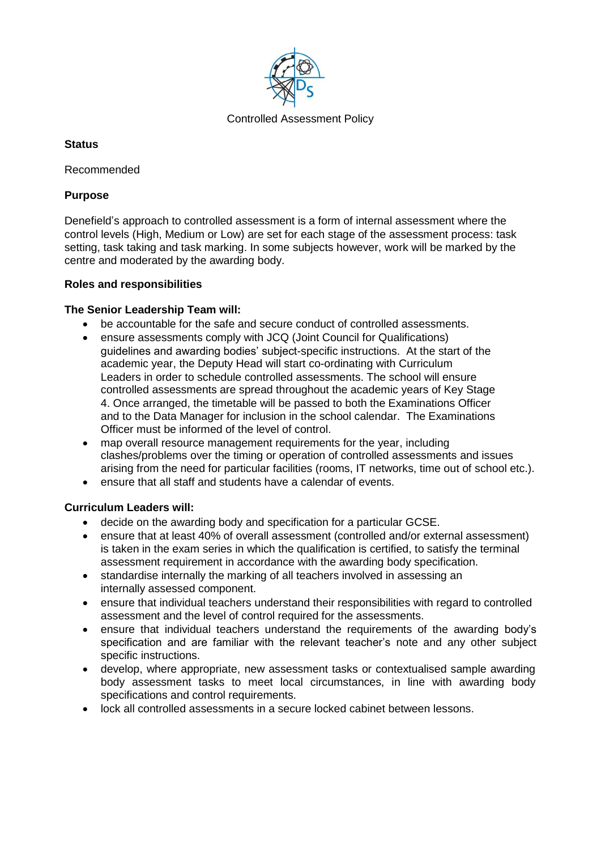

# **Status**

Recommended

## **Purpose**

Denefield's approach to controlled assessment is a form of internal assessment where the control levels (High, Medium or Low) are set for each stage of the assessment process: task setting, task taking and task marking. In some subjects however, work will be marked by the centre and moderated by the awarding body.

## **Roles and responsibilities**

## **The Senior Leadership Team will:**

- be accountable for the safe and secure conduct of controlled assessments.
- ensure assessments comply with JCQ (Joint Council for Qualifications) guidelines and awarding bodies' subject-specific instructions. At the start of the academic year, the Deputy Head will start co-ordinating with Curriculum Leaders in order to schedule controlled assessments. The school will ensure controlled assessments are spread throughout the academic years of Key Stage 4. Once arranged, the timetable will be passed to both the Examinations Officer and to the Data Manager for inclusion in the school calendar. The Examinations Officer must be informed of the level of control.
- map overall resource management requirements for the year, including clashes/problems over the timing or operation of controlled assessments and issues arising from the need for particular facilities (rooms, IT networks, time out of school etc.).
- ensure that all staff and students have a calendar of events.

# **Curriculum Leaders will:**

- decide on the awarding body and specification for a particular GCSE.
- ensure that at least 40% of overall assessment (controlled and/or external assessment) is taken in the exam series in which the qualification is certified, to satisfy the terminal assessment requirement in accordance with the awarding body specification.
- standardise internally the marking of all teachers involved in assessing an internally assessed component.
- ensure that individual teachers understand their responsibilities with regard to controlled assessment and the level of control required for the assessments.
- ensure that individual teachers understand the requirements of the awarding body's specification and are familiar with the relevant teacher's note and any other subject specific instructions.
- develop, where appropriate, new assessment tasks or contextualised sample awarding body assessment tasks to meet local circumstances, in line with awarding body specifications and control requirements.
- lock all controlled assessments in a secure locked cabinet between lessons.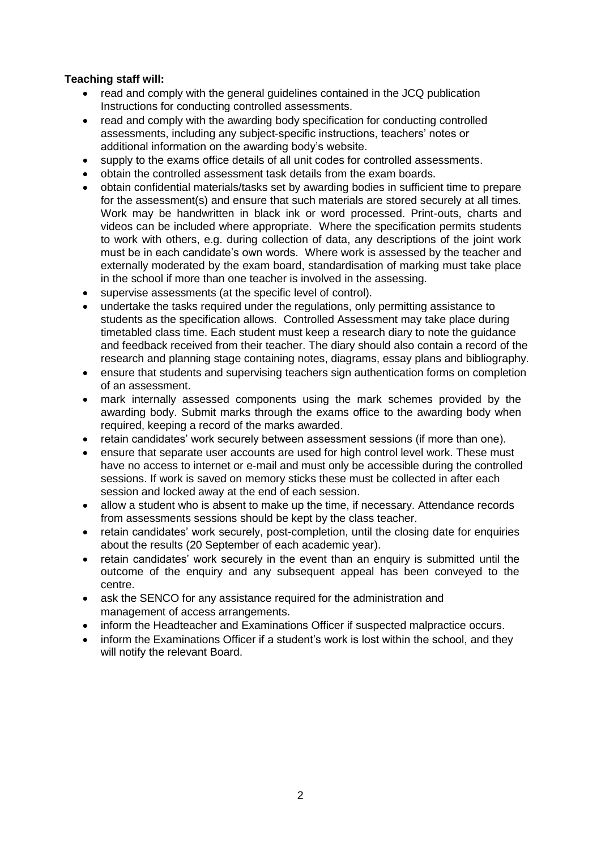## **Teaching staff will:**

- read and comply with the general guidelines contained in the JCQ publication Instructions for conducting controlled assessments.
- read and comply with the awarding body specification for conducting controlled assessments, including any subject-specific instructions, teachers' notes or additional information on the awarding body's website.
- supply to the exams office details of all unit codes for controlled assessments.
- obtain the controlled assessment task details from the exam boards.
- obtain confidential materials/tasks set by awarding bodies in sufficient time to prepare for the assessment(s) and ensure that such materials are stored securely at all times. Work may be handwritten in black ink or word processed. Print-outs, charts and videos can be included where appropriate. Where the specification permits students to work with others, e.g. during collection of data, any descriptions of the joint work must be in each candidate's own words. Where work is assessed by the teacher and externally moderated by the exam board, standardisation of marking must take place in the school if more than one teacher is involved in the assessing.
- supervise assessments (at the specific level of control).
- undertake the tasks required under the regulations, only permitting assistance to students as the specification allows. Controlled Assessment may take place during timetabled class time. Each student must keep a research diary to note the guidance and feedback received from their teacher. The diary should also contain a record of the research and planning stage containing notes, diagrams, essay plans and bibliography.
- ensure that students and supervising teachers sign authentication forms on completion of an assessment.
- mark internally assessed components using the mark schemes provided by the awarding body. Submit marks through the exams office to the awarding body when required, keeping a record of the marks awarded.
- retain candidates' work securely between assessment sessions (if more than one).
- ensure that separate user accounts are used for high control level work. These must have no access to internet or e-mail and must only be accessible during the controlled sessions. If work is saved on memory sticks these must be collected in after each session and locked away at the end of each session.
- allow a student who is absent to make up the time, if necessary. Attendance records from assessments sessions should be kept by the class teacher.
- retain candidates' work securely, post-completion, until the closing date for enquiries about the results (20 September of each academic year).
- retain candidates' work securely in the event than an enquiry is submitted until the outcome of the enquiry and any subsequent appeal has been conveyed to the centre.
- ask the SENCO for any assistance required for the administration and management of access arrangements.
- inform the Headteacher and Examinations Officer if suspected malpractice occurs.
- inform the Examinations Officer if a student's work is lost within the school, and they will notify the relevant Board.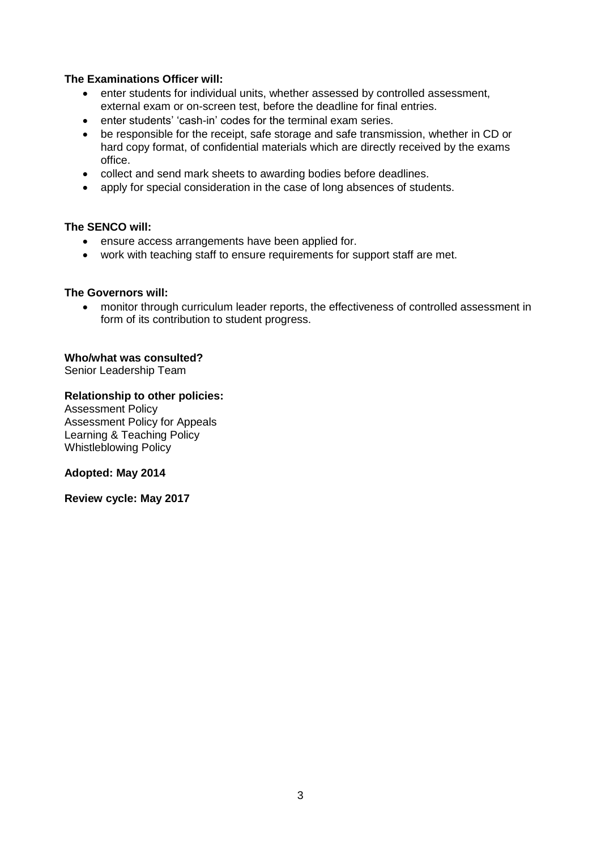## **The Examinations Officer will:**

- enter students for individual units, whether assessed by controlled assessment, external exam or on-screen test, before the deadline for final entries.
- enter students' 'cash-in' codes for the terminal exam series.
- be responsible for the receipt, safe storage and safe transmission, whether in CD or hard copy format, of confidential materials which are directly received by the exams office.
- collect and send mark sheets to awarding bodies before deadlines.
- apply for special consideration in the case of long absences of students.

## **The SENCO will:**

- ensure access arrangements have been applied for.
- work with teaching staff to ensure requirements for support staff are met.

#### **The Governors will:**

 monitor through curriculum leader reports, the effectiveness of controlled assessment in form of its contribution to student progress.

## **Who/what was consulted?**

Senior Leadership Team

## **Relationship to other policies:**

Assessment Policy Assessment Policy for Appeals Learning & Teaching Policy Whistleblowing Policy

#### **Adopted: May 2014**

**Review cycle: May 2017**